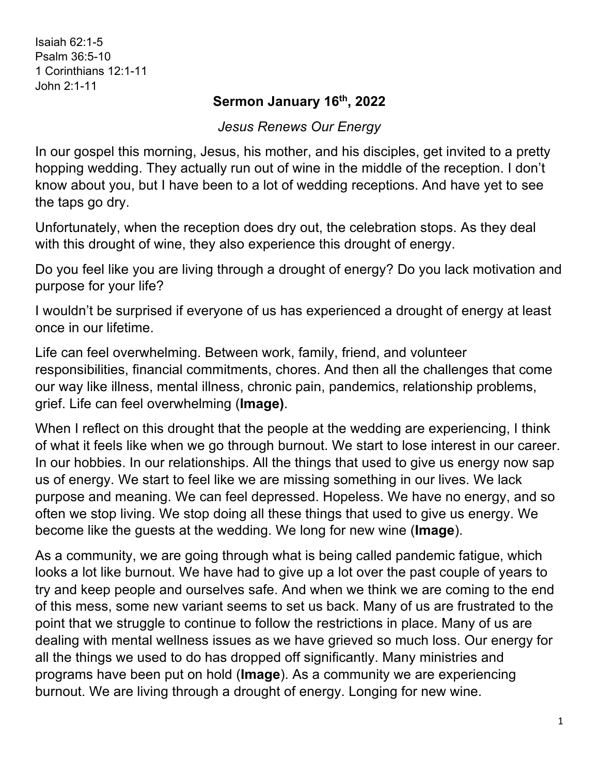Isaiah 62:1-5 Psalm 36:5-10 1 Corinthians 12:1-11 John 2:1-11

## **Sermon January 16th, 2022**

*Jesus Renews Our Energy*

In our gospel this morning, Jesus, his mother, and his disciples, get invited to a pretty hopping wedding. They actually run out of wine in the middle of the reception. I don't know about you, but I have been to a lot of wedding receptions. And have yet to see the taps go dry.

Unfortunately, when the reception does dry out, the celebration stops. As they deal with this drought of wine, they also experience this drought of energy.

Do you feel like you are living through a drought of energy? Do you lack motivation and purpose for your life?

I wouldn't be surprised if everyone of us has experienced a drought of energy at least once in our lifetime.

Life can feel overwhelming. Between work, family, friend, and volunteer responsibilities, financial commitments, chores. And then all the challenges that come our way like illness, mental illness, chronic pain, pandemics, relationship problems, grief. Life can feel overwhelming (**Image)**.

When I reflect on this drought that the people at the wedding are experiencing, I think of what it feels like when we go through burnout. We start to lose interest in our career. In our hobbies. In our relationships. All the things that used to give us energy now sap us of energy. We start to feel like we are missing something in our lives. We lack purpose and meaning. We can feel depressed. Hopeless. We have no energy, and so often we stop living. We stop doing all these things that used to give us energy. We become like the guests at the wedding. We long for new wine (**Image**).

As a community, we are going through what is being called pandemic fatigue, which looks a lot like burnout. We have had to give up a lot over the past couple of years to try and keep people and ourselves safe. And when we think we are coming to the end of this mess, some new variant seems to set us back. Many of us are frustrated to the point that we struggle to continue to follow the restrictions in place. Many of us are dealing with mental wellness issues as we have grieved so much loss. Our energy for all the things we used to do has dropped off significantly. Many ministries and programs have been put on hold (**Image**). As a community we are experiencing burnout. We are living through a drought of energy. Longing for new wine.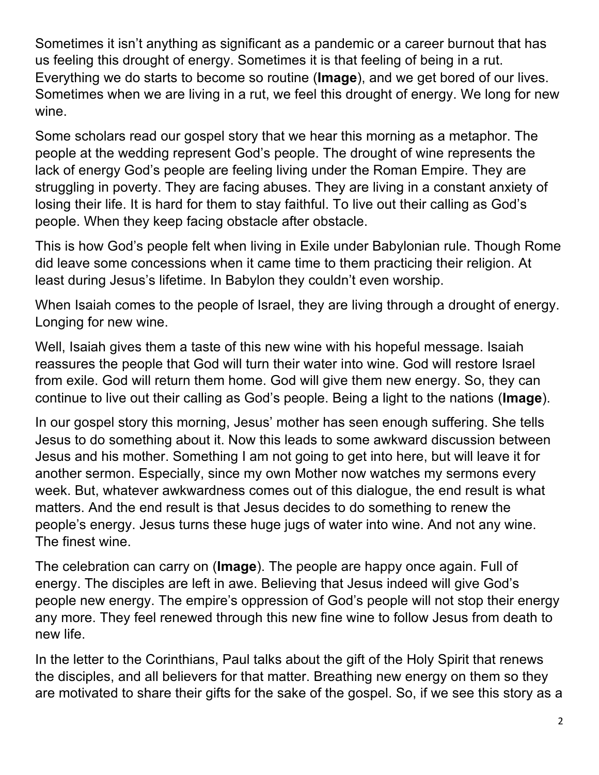Sometimes it isn't anything as significant as a pandemic or a career burnout that has us feeling this drought of energy. Sometimes it is that feeling of being in a rut. Everything we do starts to become so routine (**Image**), and we get bored of our lives. Sometimes when we are living in a rut, we feel this drought of energy. We long for new wine.

Some scholars read our gospel story that we hear this morning as a metaphor. The people at the wedding represent God's people. The drought of wine represents the lack of energy God's people are feeling living under the Roman Empire. They are struggling in poverty. They are facing abuses. They are living in a constant anxiety of losing their life. It is hard for them to stay faithful. To live out their calling as God's people. When they keep facing obstacle after obstacle.

This is how God's people felt when living in Exile under Babylonian rule. Though Rome did leave some concessions when it came time to them practicing their religion. At least during Jesus's lifetime. In Babylon they couldn't even worship.

When Isaiah comes to the people of Israel, they are living through a drought of energy. Longing for new wine.

Well, Isaiah gives them a taste of this new wine with his hopeful message. Isaiah reassures the people that God will turn their water into wine. God will restore Israel from exile. God will return them home. God will give them new energy. So, they can continue to live out their calling as God's people. Being a light to the nations (**Image**).

In our gospel story this morning, Jesus' mother has seen enough suffering. She tells Jesus to do something about it. Now this leads to some awkward discussion between Jesus and his mother. Something I am not going to get into here, but will leave it for another sermon. Especially, since my own Mother now watches my sermons every week. But, whatever awkwardness comes out of this dialogue, the end result is what matters. And the end result is that Jesus decides to do something to renew the people's energy. Jesus turns these huge jugs of water into wine. And not any wine. The finest wine.

The celebration can carry on (**Image**). The people are happy once again. Full of energy. The disciples are left in awe. Believing that Jesus indeed will give God's people new energy. The empire's oppression of God's people will not stop their energy any more. They feel renewed through this new fine wine to follow Jesus from death to new life.

In the letter to the Corinthians, Paul talks about the gift of the Holy Spirit that renews the disciples, and all believers for that matter. Breathing new energy on them so they are motivated to share their gifts for the sake of the gospel. So, if we see this story as a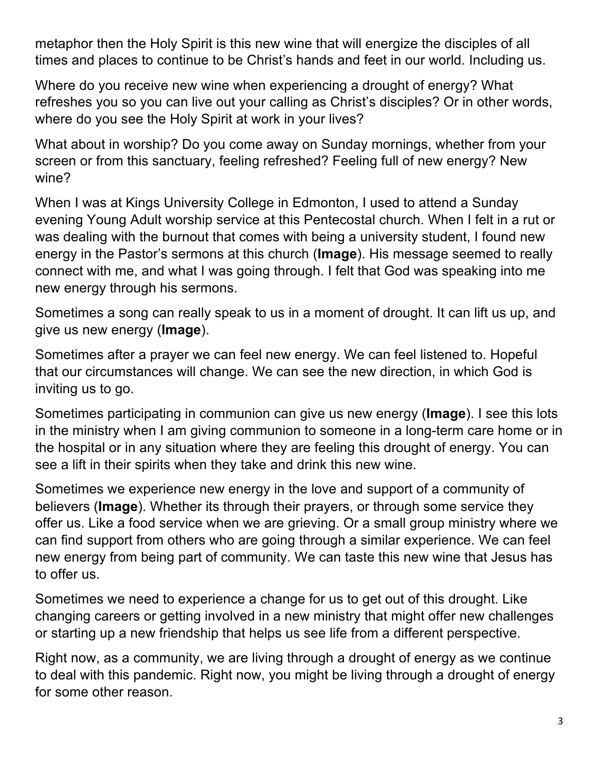metaphor then the Holy Spirit is this new wine that will energize the disciples of all times and places to continue to be Christ's hands and feet in our world. Including us.

Where do you receive new wine when experiencing a drought of energy? What refreshes you so you can live out your calling as Christ's disciples? Or in other words, where do you see the Holy Spirit at work in your lives?

What about in worship? Do you come away on Sunday mornings, whether from your screen or from this sanctuary, feeling refreshed? Feeling full of new energy? New wine?

When I was at Kings University College in Edmonton, I used to attend a Sunday evening Young Adult worship service at this Pentecostal church. When I felt in a rut or was dealing with the burnout that comes with being a university student, I found new energy in the Pastor's sermons at this church (**Image**). His message seemed to really connect with me, and what I was going through. I felt that God was speaking into me new energy through his sermons.

Sometimes a song can really speak to us in a moment of drought. It can lift us up, and give us new energy (**Image**).

Sometimes after a prayer we can feel new energy. We can feel listened to. Hopeful that our circumstances will change. We can see the new direction, in which God is inviting us to go.

Sometimes participating in communion can give us new energy (**Image**). I see this lots in the ministry when I am giving communion to someone in a long-term care home or in the hospital or in any situation where they are feeling this drought of energy. You can see a lift in their spirits when they take and drink this new wine.

Sometimes we experience new energy in the love and support of a community of believers (**Image**). Whether its through their prayers, or through some service they offer us. Like a food service when we are grieving. Or a small group ministry where we can find support from others who are going through a similar experience. We can feel new energy from being part of community. We can taste this new wine that Jesus has to offer us.

Sometimes we need to experience a change for us to get out of this drought. Like changing careers or getting involved in a new ministry that might offer new challenges or starting up a new friendship that helps us see life from a different perspective.

Right now, as a community, we are living through a drought of energy as we continue to deal with this pandemic. Right now, you might be living through a drought of energy for some other reason.